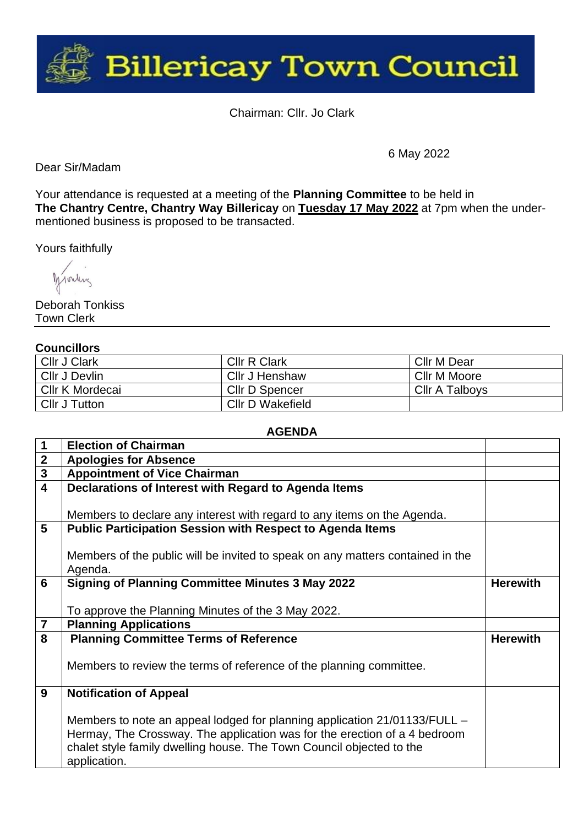

Chairman: Cllr. Jo Clark

Dear Sir/Madam

6 May 2022

Your attendance is requested at a meeting of the **Planning Committee** to be held in **The Chantry Centre, Chantry Way Billericay** on **Tuesday 17 May 2022** at 7pm when the undermentioned business is proposed to be transacted.

Yours faithfully

Monday

Deborah Tonkiss Town Clerk

## **Councillors**

| <b>Cllr J Clark</b>  | <b>CIIr R Clark</b>   | Cllr M Dear           |
|----------------------|-----------------------|-----------------------|
| Cllr J Devlin        | Cllr J Henshaw        | Cllr M Moore          |
| Cllr K Mordecai      | <b>Cllr D Spencer</b> | <b>Cllr A Talboys</b> |
| <b>Cllr J Tutton</b> | Cllr D Wakefield      |                       |

## **AGENDA**

| 1                       | <b>Election of Chairman</b>                                                    |                 |
|-------------------------|--------------------------------------------------------------------------------|-----------------|
| $\mathbf{2}$            | <b>Apologies for Absence</b>                                                   |                 |
| $\mathbf{3}$            | <b>Appointment of Vice Chairman</b>                                            |                 |
| $\overline{\mathbf{4}}$ | Declarations of Interest with Regard to Agenda Items                           |                 |
|                         |                                                                                |                 |
|                         | Members to declare any interest with regard to any items on the Agenda.        |                 |
| 5                       | <b>Public Participation Session with Respect to Agenda Items</b>               |                 |
|                         |                                                                                |                 |
|                         | Members of the public will be invited to speak on any matters contained in the |                 |
|                         | Agenda.                                                                        |                 |
| 6                       | <b>Signing of Planning Committee Minutes 3 May 2022</b>                        | <b>Herewith</b> |
|                         |                                                                                |                 |
|                         | To approve the Planning Minutes of the 3 May 2022.                             |                 |
| $\overline{7}$          | <b>Planning Applications</b>                                                   |                 |
| 8                       | <b>Planning Committee Terms of Reference</b>                                   | <b>Herewith</b> |
|                         |                                                                                |                 |
|                         | Members to review the terms of reference of the planning committee.            |                 |
|                         |                                                                                |                 |
| 9                       | <b>Notification of Appeal</b>                                                  |                 |
|                         |                                                                                |                 |
|                         | Members to note an appeal lodged for planning application 21/01133/FULL –      |                 |
|                         | Hermay, The Crossway. The application was for the erection of a 4 bedroom      |                 |
|                         | chalet style family dwelling house. The Town Council objected to the           |                 |
|                         | application.                                                                   |                 |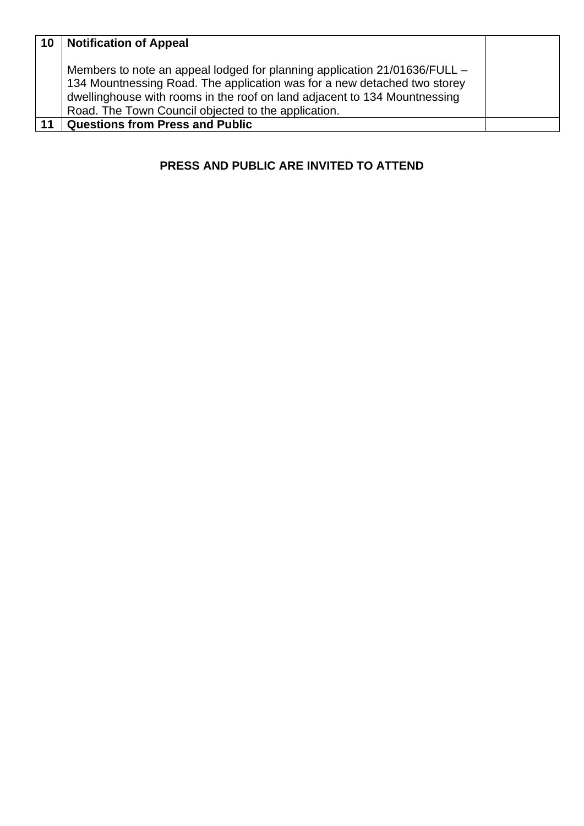| 10 | <b>Notification of Appeal</b>                                                                                                                                                                                                                                                             |  |
|----|-------------------------------------------------------------------------------------------------------------------------------------------------------------------------------------------------------------------------------------------------------------------------------------------|--|
|    | Members to note an appeal lodged for planning application 21/01636/FULL –<br>134 Mountnessing Road. The application was for a new detached two storey<br>dwellinghouse with rooms in the roof on land adjacent to 134 Mountnessing<br>Road. The Town Council objected to the application. |  |
| 11 | <b>Questions from Press and Public</b>                                                                                                                                                                                                                                                    |  |

## **PRESS AND PUBLIC ARE INVITED TO ATTEND**